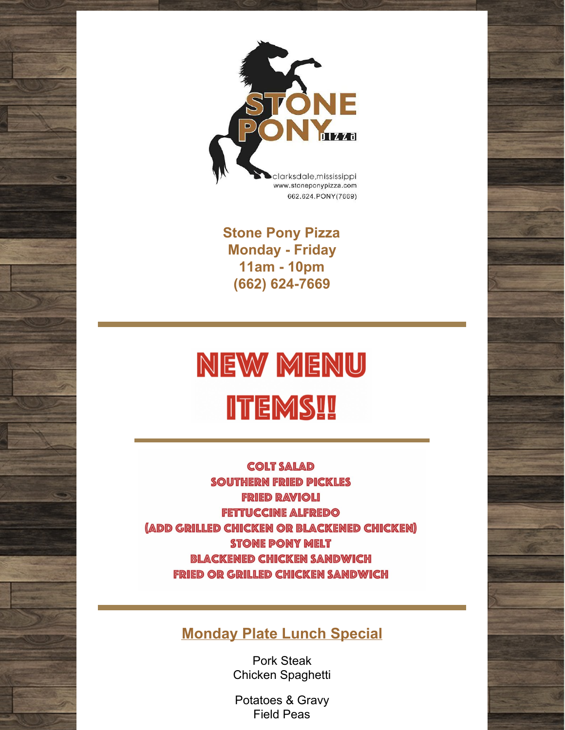

**Stone Pony Pizza Monday - Friday 11am - 10pm (662) 624-7669**

# **NEW MENU ITEMS!!**

**COLT SALAD SOUTHERN FRIED PICKLES FRIED RAVIOLI FETTUCCINE ALFREDO** (ADD GRILLED CHICKEN OR BLACKENED CHICKEN) **STONE PONY MELT BLACKENED CHICKEN SANDWICH FRIED OR GRILLED CHICKEN SANDWICH** 

#### **Monday Plate Lunch Special**

Pork Steak Chicken Spaghetti

Potatoes & Gravy Field Peas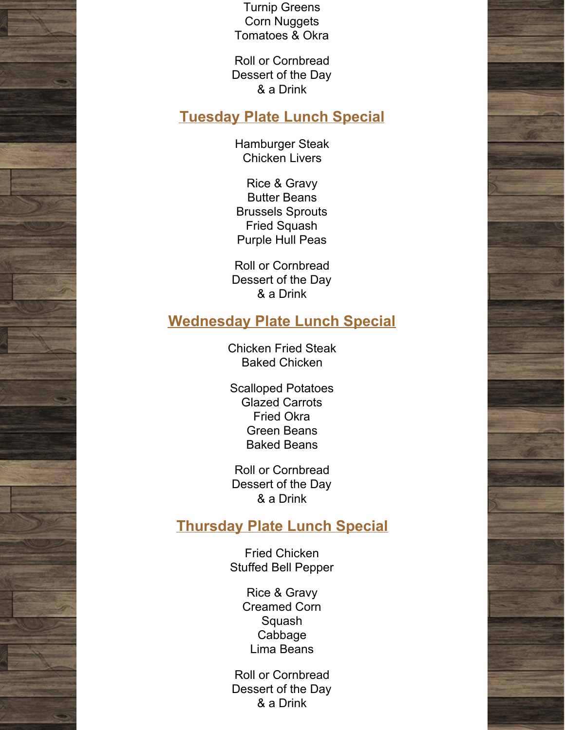Turnip Greens Corn Nuggets Tomatoes & Okra

Roll or Cornbread Dessert of the Day & a Drink

#### **Tuesday Plate Lunch Special**

Hamburger Steak Chicken Livers

Rice & Gravy Butter Beans Brussels Sprouts Fried Squash Purple Hull Peas

Roll or Cornbread Dessert of the Day & a Drink

#### **Wednesday Plate Lunch Special**

Chicken Fried Steak Baked Chicken

Scalloped Potatoes Glazed Carrots Fried Okra Green Beans Baked Beans

Roll or Cornbread Dessert of the Day & a Drink

#### **Thursday Plate Lunch Special**

Fried Chicken Stuffed Bell Pepper

> Rice & Gravy Creamed Corn Squash Cabbage Lima Beans

Roll or Cornbread Dessert of the Day & a Drink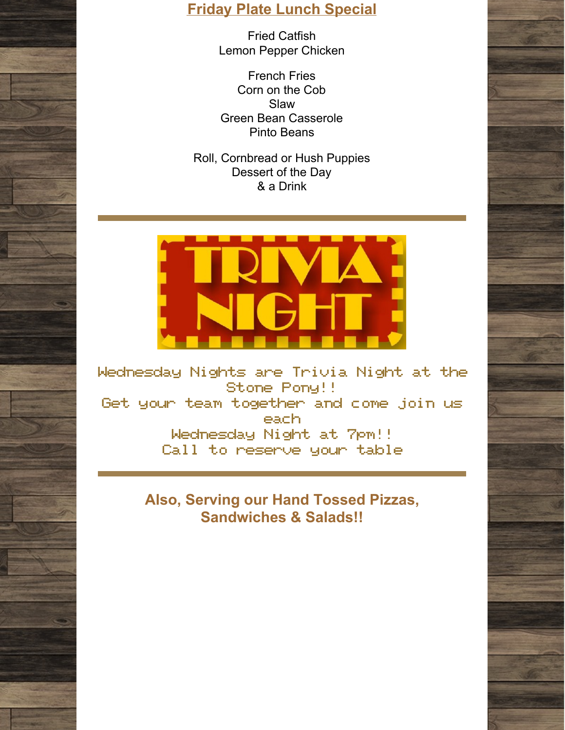### **Friday Plate Lunch Special**

Fried Catfish Lemon Pepper Chicken

French Fries Corn on the Cob Slaw Green Bean Casserole Pinto Beans

Roll, Cornbread or Hush Puppies Dessert of the Day & a Drink



Wednesday Nights are Trivia Night at the Stone Pony!! Get your team together and come join us each Wednesday Night at 7pm!! Call to reserve your table

> **Also, Serving our Hand Tossed Pizzas, Sandwiches & Salads!!**